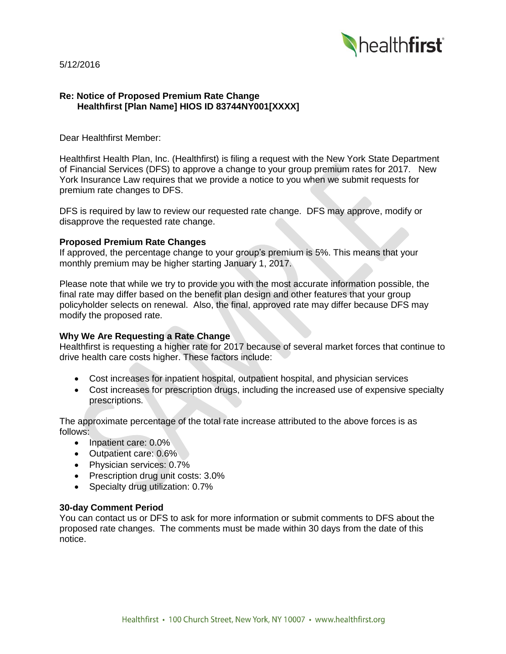5/12/2016



# **Re: Notice of Proposed Premium Rate Change Healthfirst [Plan Name] HIOS ID 83744NY001[XXXX]**

Dear Healthfirst Member:

Healthfirst Health Plan, Inc. (Healthfirst) is filing a request with the New York State Department of Financial Services (DFS) to approve a change to your group premium rates for 2017. New York Insurance Law requires that we provide a notice to you when we submit requests for premium rate changes to DFS.

DFS is required by law to review our requested rate change. DFS may approve, modify or disapprove the requested rate change.

#### **Proposed Premium Rate Changes**

If approved, the percentage change to your group's premium is 5%. This means that your monthly premium may be higher starting January 1, 2017.

Please note that while we try to provide you with the most accurate information possible, the final rate may differ based on the benefit plan design and other features that your group policyholder selects on renewal. Also, the final, approved rate may differ because DFS may modify the proposed rate.

## **Why We Are Requesting a Rate Change**

Healthfirst is requesting a higher rate for 2017 because of several market forces that continue to drive health care costs higher. These factors include:

- Cost increases for inpatient hospital, outpatient hospital, and physician services
- Cost increases for prescription drugs, including the increased use of expensive specialty prescriptions.

The approximate percentage of the total rate increase attributed to the above forces is as follows:

- Inpatient care: 0.0%
- Outpatient care: 0.6%
- Physician services: 0.7%
- Prescription drug unit costs: 3.0%
- Specialty drug utilization: 0.7%

#### **30-day Comment Period**

You can contact us or DFS to ask for more information or submit comments to DFS about the proposed rate changes. The comments must be made within 30 days from the date of this notice.